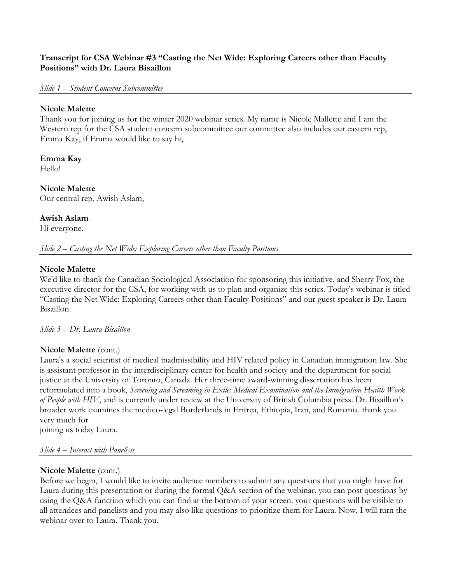## **Transcript for CSA Webinar #3 "Casting the Net Wide: Exploring Careers other than Faculty Positions" with Dr. Laura Bisaillon**

#### *Slide 1 – Student Concerns Subcommittee*

### **Nicole Malette**

Thank you for joining us for the winter 2020 webinar series. My name is Nicole Mallette and I am the Western rep for the CSA student concern subcommittee our committee also includes our eastern rep, Emma Kay, if Emma would like to say hi,

# **Emma Kay**

Hello!

**Nicole Malette** Our central rep, Awish Aslam,

## **Awish Aslam**

Hi everyone.

*Slide 2 – Casting the Net Wide: Exploring Careers other than Faculty Positions*

## **Nicole Malette**

We'd like to thank the Canadian Sociological Association for sponsoring this initiative, and Sherry Fox, the executive director for the CSA, for working with us to plan and organize this series. Today's webinar is titled "Casting the Net Wide: Exploring Careers other than Faculty Positions" and our guest speaker is Dr. Laura Bisaillon.

## *Slide 3 – Dr. Laura Bisaillon*

## **Nicole Malette** (cont.)

Laura's a social scientist of medical inadmissibility and HIV related policy in Canadian immigration law. She is assistant professor in the interdisciplinary center for health and society and the department for social justice at the University of Toronto, Canada. Her three-time award-winning dissertation has been reformulated into a book, *Screening and Screaming in Exile: Medical Examination and the Immigration Health Work of People with HIV*, and is currently under review at the University of British Columbia press. Dr. Bisaillon's broader work examines the medico-legal Borderlands in Eritrea, Ethiopia, Iran, and Romania. thank you very much for

joining us today Laura.

## *Slide 4 – Interact with Panelists*

## **Nicole Malette** (cont.)

Before we begin, I would like to invite audience members to submit any questions that you might have for Laura during this presentation or during the formal Q&A section of the webinar. you can post questions by using the Q&A function which you can find at the bottom of your screen. your questions will be visible to all attendees and panelists and you may also like questions to prioritize them for Laura. Now, I will turn the webinar over to Laura. Thank you.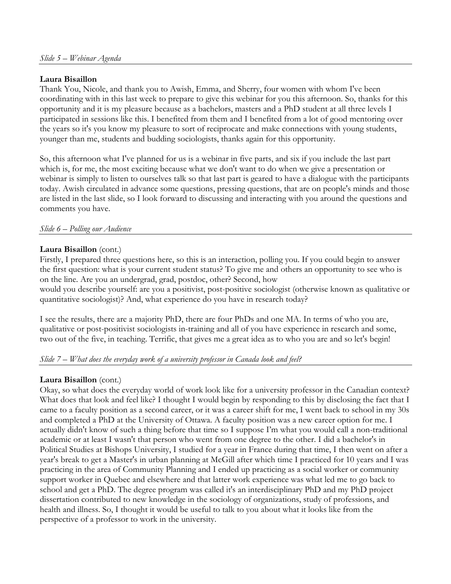## **Laura Bisaillon**

Thank You, Nicole, and thank you to Awish, Emma, and Sherry, four women with whom I've been coordinating with in this last week to prepare to give this webinar for you this afternoon. So, thanks for this opportunity and it is my pleasure because as a bachelors, masters and a PhD student at all three levels I participated in sessions like this. I benefited from them and I benefited from a lot of good mentoring over the years so it's you know my pleasure to sort of reciprocate and make connections with young students, younger than me, students and budding sociologists, thanks again for this opportunity.

So, this afternoon what I've planned for us is a webinar in five parts, and six if you include the last part which is, for me, the most exciting because what we don't want to do when we give a presentation or webinar is simply to listen to ourselves talk so that last part is geared to have a dialogue with the participants today. Awish circulated in advance some questions, pressing questions, that are on people's minds and those are listed in the last slide, so I look forward to discussing and interacting with you around the questions and comments you have.

## *Slide 6 – Polling our Audience*

## **Laura Bisaillon** (cont.)

Firstly, I prepared three questions here, so this is an interaction, polling you. If you could begin to answer the first question: what is your current student status? To give me and others an opportunity to see who is on the line. Are you an undergrad, grad, postdoc, other? Second, how

would you describe yourself: are you a positivist, post-positive sociologist (otherwise known as qualitative or quantitative sociologist)? And, what experience do you have in research today?

I see the results, there are a majority PhD, there are four PhDs and one MA. In terms of who you are, qualitative or post-positivist sociologists in-training and all of you have experience in research and some, two out of the five, in teaching. Terrific, that gives me a great idea as to who you are and so let's begin!

## *Slide 7 – What does the everyday work of a university professor in Canada look and feel?*

## **Laura Bisaillon** (cont.)

Okay, so what does the everyday world of work look like for a university professor in the Canadian context? What does that look and feel like? I thought I would begin by responding to this by disclosing the fact that I came to a faculty position as a second career, or it was a career shift for me, I went back to school in my 30s and completed a PhD at the University of Ottawa. A faculty position was a new career option for me. I actually didn't know of such a thing before that time so I suppose I'm what you would call a non-traditional academic or at least I wasn't that person who went from one degree to the other. I did a bachelor's in Political Studies at Bishops University, I studied for a year in France during that time, I then went on after a year's break to get a Master's in urban planning at McGill after which time I practiced for 10 years and I was practicing in the area of Community Planning and I ended up practicing as a social worker or community support worker in Quebec and elsewhere and that latter work experience was what led me to go back to school and get a PhD. The degree program was called it's an interdisciplinary PhD and my PhD project dissertation contributed to new knowledge in the sociology of organizations, study of professions, and health and illness. So, I thought it would be useful to talk to you about what it looks like from the perspective of a professor to work in the university.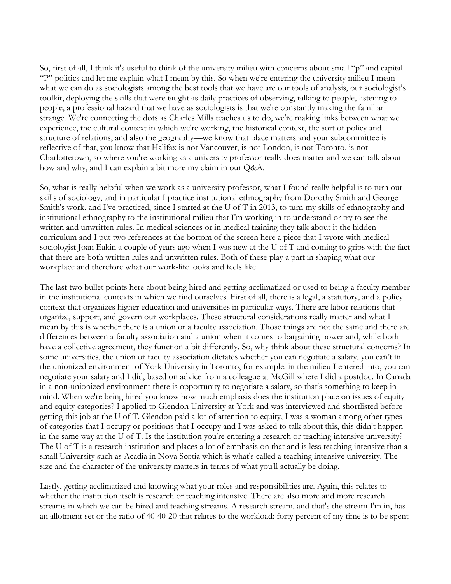So, first of all, I think it's useful to think of the university milieu with concerns about small "p" and capital "P" politics and let me explain what I mean by this. So when we're entering the university milieu I mean what we can do as sociologists among the best tools that we have are our tools of analysis, our sociologist's toolkit, deploying the skills that were taught as daily practices of observing, talking to people, listening to people, a professional hazard that we have as sociologists is that we're constantly making the familiar strange. We're connecting the dots as Charles Mills teaches us to do, we're making links between what we experience, the cultural context in which we're working, the historical context, the sort of policy and structure of relations, and also the geography—we know that place matters and your subcommittee is reflective of that, you know that Halifax is not Vancouver, is not London, is not Toronto, is not Charlottetown, so where you're working as a university professor really does matter and we can talk about how and why, and I can explain a bit more my claim in our Q&A.

So, what is really helpful when we work as a university professor, what I found really helpful is to turn our skills of sociology, and in particular I practice institutional ethnography from Dorothy Smith and George Smith's work, and I've practiced, since I started at the U of T in 2013, to turn my skills of ethnography and institutional ethnography to the institutional milieu that I'm working in to understand or try to see the written and unwritten rules. In medical sciences or in medical training they talk about it the hidden curriculum and I put two references at the bottom of the screen here a piece that I wrote with medical sociologist Joan Eakin a couple of years ago when I was new at the U of T and coming to grips with the fact that there are both written rules and unwritten rules. Both of these play a part in shaping what our workplace and therefore what our work-life looks and feels like.

The last two bullet points here about being hired and getting acclimatized or used to being a faculty member in the institutional contexts in which we find ourselves. First of all, there is a legal, a statutory, and a policy context that organizes higher education and universities in particular ways. There are labor relations that organize, support, and govern our workplaces. These structural considerations really matter and what I mean by this is whether there is a union or a faculty association. Those things are not the same and there are differences between a faculty association and a union when it comes to bargaining power and, while both have a collective agreement, they function a bit differently. So, why think about these structural concerns? In some universities, the union or faculty association dictates whether you can negotiate a salary, you can't in the unionized environment of York University in Toronto, for example. in the milieu I entered into, you can negotiate your salary and I did, based on advice from a colleague at McGill where I did a postdoc. In Canada in a non-unionized environment there is opportunity to negotiate a salary, so that's something to keep in mind. When we're being hired you know how much emphasis does the institution place on issues of equity and equity categories? I applied to Glendon University at York and was interviewed and shortlisted before getting this job at the U of T. Glendon paid a lot of attention to equity, I was a woman among other types of categories that I occupy or positions that I occupy and I was asked to talk about this, this didn't happen in the same way at the U of T. Is the institution you're entering a research or teaching intensive university? The U of T is a research institution and places a lot of emphasis on that and is less teaching intensive than a small University such as Acadia in Nova Scotia which is what's called a teaching intensive university. The size and the character of the university matters in terms of what you'll actually be doing.

Lastly, getting acclimatized and knowing what your roles and responsibilities are. Again, this relates to whether the institution itself is research or teaching intensive. There are also more and more research streams in which we can be hired and teaching streams. A research stream, and that's the stream I'm in, has an allotment set or the ratio of 40-40-20 that relates to the workload: forty percent of my time is to be spent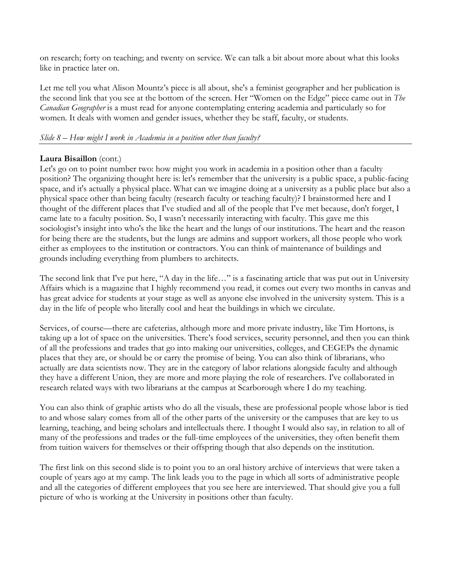on research; forty on teaching; and twenty on service. We can talk a bit about more about what this looks like in practice later on.

Let me tell you what Alison Mountz's piece is all about, she's a feminist geographer and her publication is the second link that you see at the bottom of the screen. Her "Women on the Edge" piece came out in *The Canadian Geographer* is a must read for anyone contemplating entering academia and particularly so for women. It deals with women and gender issues, whether they be staff, faculty, or students.

# *Slide 8 – How might I work in Academia in a position other than faculty?*

# **Laura Bisaillon** (cont.)

Let's go on to point number two: how might you work in academia in a position other than a faculty position? The organizing thought here is: let's remember that the university is a public space, a public-facing space, and it's actually a physical place. What can we imagine doing at a university as a public place but also a physical space other than being faculty (research faculty or teaching faculty)? I brainstormed here and I thought of the different places that I've studied and all of the people that I've met because, don't forget, I came late to a faculty position. So, I wasn't necessarily interacting with faculty. This gave me this sociologist's insight into who's the like the heart and the lungs of our institutions. The heart and the reason for being there are the students, but the lungs are admins and support workers, all those people who work either as employees to the institution or contractors. You can think of maintenance of buildings and grounds including everything from plumbers to architects.

The second link that I've put here, "A day in the life…" is a fascinating article that was put out in University Affairs which is a magazine that I highly recommend you read, it comes out every two months in canvas and has great advice for students at your stage as well as anyone else involved in the university system. This is a day in the life of people who literally cool and heat the buildings in which we circulate.

Services, of course—there are cafeterias, although more and more private industry, like Tim Hortons, is taking up a lot of space on the universities. There's food services, security personnel, and then you can think of all the professions and trades that go into making our universities, colleges, and CEGEPs the dynamic places that they are, or should be or carry the promise of being. You can also think of librarians, who actually are data scientists now. They are in the category of labor relations alongside faculty and although they have a different Union, they are more and more playing the role of researchers. I've collaborated in research related ways with two librarians at the campus at Scarborough where I do my teaching.

You can also think of graphic artists who do all the visuals, these are professional people whose labor is tied to and whose salary comes from all of the other parts of the university or the campuses that are key to us learning, teaching, and being scholars and intellectuals there. I thought I would also say, in relation to all of many of the professions and trades or the full-time employees of the universities, they often benefit them from tuition waivers for themselves or their offspring though that also depends on the institution.

The first link on this second slide is to point you to an oral history archive of interviews that were taken a couple of years ago at my camp. The link leads you to the page in which all sorts of administrative people and all the categories of different employees that you see here are interviewed. That should give you a full picture of who is working at the University in positions other than faculty.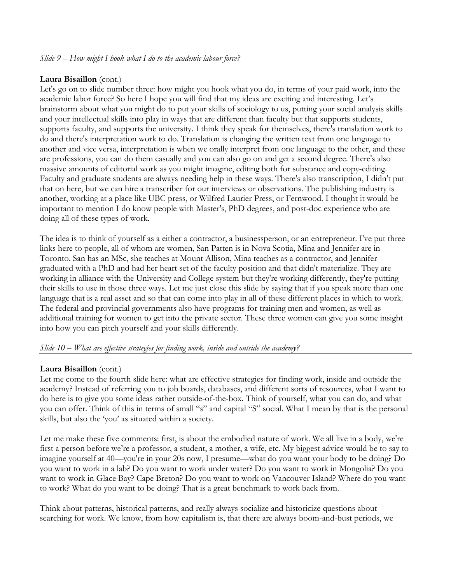# **Laura Bisaillon** (cont.)

Let's go on to slide number three: how might you hook what you do, in terms of your paid work, into the academic labor force? So here I hope you will find that my ideas are exciting and interesting. Let's brainstorm about what you might do to put your skills of sociology to us, putting your social analysis skills and your intellectual skills into play in ways that are different than faculty but that supports students, supports faculty, and supports the university. I think they speak for themselves, there's translation work to do and there's interpretation work to do. Translation is changing the written text from one language to another and vice versa, interpretation is when we orally interpret from one language to the other, and these are professions, you can do them casually and you can also go on and get a second degree. There's also massive amounts of editorial work as you might imagine, editing both for substance and copy-editing. Faculty and graduate students are always needing help in these ways. There's also transcription, I didn't put that on here, but we can hire a transcriber for our interviews or observations. The publishing industry is another, working at a place like UBC press, or Wilfred Laurier Press, or Fernwood. I thought it would be important to mention I do know people with Master's, PhD degrees, and post-doc experience who are doing all of these types of work.

The idea is to think of yourself as a either a contractor, a businessperson, or an entrepreneur. I've put three links here to people, all of whom are women, San Patten is in Nova Scotia, Mina and Jennifer are in Toronto. San has an MSc, she teaches at Mount Allison, Mina teaches as a contractor, and Jennifer graduated with a PhD and had her heart set of the faculty position and that didn't materialize. They are working in alliance with the University and College system but they're working differently, they're putting their skills to use in those three ways. Let me just close this slide by saying that if you speak more than one language that is a real asset and so that can come into play in all of these different places in which to work. The federal and provincial governments also have programs for training men and women, as well as additional training for women to get into the private sector. These three women can give you some insight into how you can pitch yourself and your skills differently.

## *Slide 10 – What are effective strategies for finding work, inside and outside the academy?*

## **Laura Bisaillon** (cont.)

Let me come to the fourth slide here: what are effective strategies for finding work, inside and outside the academy? Instead of referring you to job boards, databases, and different sorts of resources, what I want to do here is to give you some ideas rather outside-of-the-box. Think of yourself, what you can do, and what you can offer. Think of this in terms of small "s" and capital "S" social. What I mean by that is the personal skills, but also the 'you' as situated within a society.

Let me make these five comments: first, is about the embodied nature of work. We all live in a body, we're first a person before we're a professor, a student, a mother, a wife, etc. My biggest advice would be to say to imagine yourself at 40—you're in your 20s now, I presume—what do you want your body to be doing? Do you want to work in a lab? Do you want to work under water? Do you want to work in Mongolia? Do you want to work in Glace Bay? Cape Breton? Do you want to work on Vancouver Island? Where do you want to work? What do you want to be doing? That is a great benchmark to work back from.

Think about patterns, historical patterns, and really always socialize and historicize questions about searching for work. We know, from how capitalism is, that there are always boom-and-bust periods, we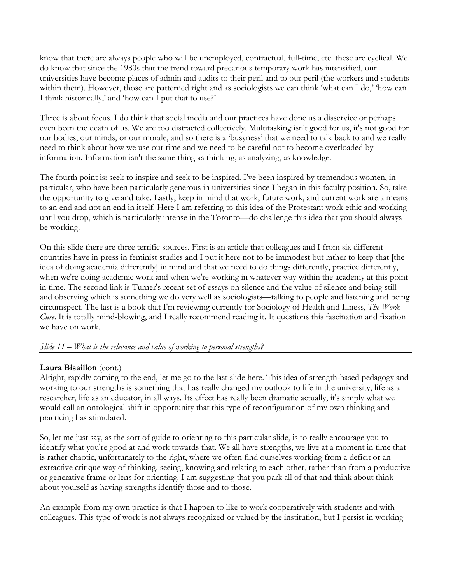know that there are always people who will be unemployed, contractual, full-time, etc. these are cyclical. We do know that since the 1980s that the trend toward precarious temporary work has intensified, our universities have become places of admin and audits to their peril and to our peril (the workers and students within them). However, those are patterned right and as sociologists we can think 'what can I do,' 'how can I think historically,' and 'how can I put that to use?'

Three is about focus. I do think that social media and our practices have done us a disservice or perhaps even been the death of us. We are too distracted collectively. Multitasking isn't good for us, it's not good for our bodies, our minds, or our morale, and so there is a 'busyness' that we need to talk back to and we really need to think about how we use our time and we need to be careful not to become overloaded by information. Information isn't the same thing as thinking, as analyzing, as knowledge.

The fourth point is: seek to inspire and seek to be inspired. I've been inspired by tremendous women, in particular, who have been particularly generous in universities since I began in this faculty position. So, take the opportunity to give and take. Lastly, keep in mind that work, future work, and current work are a means to an end and not an end in itself. Here I am referring to this idea of the Protestant work ethic and working until you drop, which is particularly intense in the Toronto—do challenge this idea that you should always be working.

On this slide there are three terrific sources. First is an article that colleagues and I from six different countries have in-press in feminist studies and I put it here not to be immodest but rather to keep that [the idea of doing academia differently] in mind and that we need to do things differently, practice differently, when we're doing academic work and when we're working in whatever way within the academy at this point in time. The second link is Turner's recent set of essays on silence and the value of silence and being still and observing which is something we do very well as sociologists—talking to people and listening and being circumspect. The last is a book that I'm reviewing currently for Sociology of Health and Illness, *The Work Cure*. It is totally mind-blowing, and I really recommend reading it. It questions this fascination and fixation we have on work.

## *Slide 11 – What is the relevance and value of working to personal strengths?*

# **Laura Bisaillon** (cont.)

Alright, rapidly coming to the end, let me go to the last slide here. This idea of strength-based pedagogy and working to our strengths is something that has really changed my outlook to life in the university, life as a researcher, life as an educator, in all ways. Its effect has really been dramatic actually, it's simply what we would call an ontological shift in opportunity that this type of reconfiguration of my own thinking and practicing has stimulated.

So, let me just say, as the sort of guide to orienting to this particular slide, is to really encourage you to identify what you're good at and work towards that. We all have strengths, we live at a moment in time that is rather chaotic, unfortunately to the right, where we often find ourselves working from a deficit or an extractive critique way of thinking, seeing, knowing and relating to each other, rather than from a productive or generative frame or lens for orienting. I am suggesting that you park all of that and think about think about yourself as having strengths identify those and to those.

An example from my own practice is that I happen to like to work cooperatively with students and with colleagues. This type of work is not always recognized or valued by the institution, but I persist in working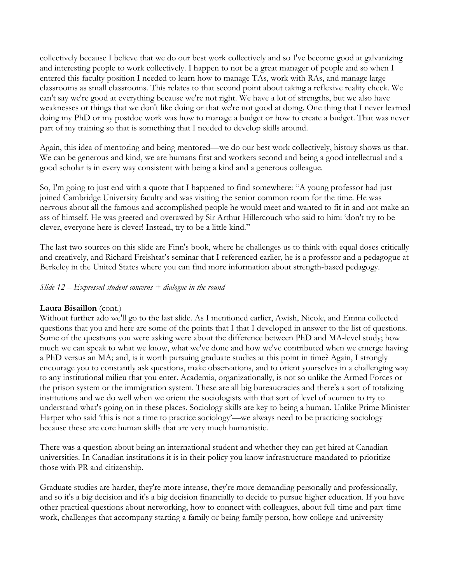collectively because I believe that we do our best work collectively and so I've become good at galvanizing and interesting people to work collectively. I happen to not be a great manager of people and so when I entered this faculty position I needed to learn how to manage TAs, work with RAs, and manage large classrooms as small classrooms. This relates to that second point about taking a reflexive reality check. We can't say we're good at everything because we're not right. We have a lot of strengths, but we also have weaknesses or things that we don't like doing or that we're not good at doing. One thing that I never learned doing my PhD or my postdoc work was how to manage a budget or how to create a budget. That was never part of my training so that is something that I needed to develop skills around.

Again, this idea of mentoring and being mentored—we do our best work collectively, history shows us that. We can be generous and kind, we are humans first and workers second and being a good intellectual and a good scholar is in every way consistent with being a kind and a generous colleague.

So, I'm going to just end with a quote that I happened to find somewhere: "A young professor had just joined Cambridge University faculty and was visiting the senior common room for the time. He was nervous about all the famous and accomplished people he would meet and wanted to fit in and not make an ass of himself. He was greeted and overawed by Sir Arthur Hillercouch who said to him: 'don't try to be clever, everyone here is clever! Instead, try to be a little kind."

The last two sources on this slide are Finn's book, where he challenges us to think with equal doses critically and creatively, and Richard Freishtat's seminar that I referenced earlier, he is a professor and a pedagogue at Berkeley in the United States where you can find more information about strength-based pedagogy.

## *Slide 12 – Expressed student concerns + dialogue-in-the-round*

## **Laura Bisaillon** (cont.)

Without further ado we'll go to the last slide. As I mentioned earlier, Awish, Nicole, and Emma collected questions that you and here are some of the points that I that I developed in answer to the list of questions. Some of the questions you were asking were about the difference between PhD and MA-level study; how much we can speak to what we know, what we've done and how we've contributed when we emerge having a PhD versus an MA; and, is it worth pursuing graduate studies at this point in time? Again, I strongly encourage you to constantly ask questions, make observations, and to orient yourselves in a challenging way to any institutional milieu that you enter. Academia, organizationally, is not so unlike the Armed Forces or the prison system or the immigration system. These are all big bureaucracies and there's a sort of totalizing institutions and we do well when we orient the sociologists with that sort of level of acumen to try to understand what's going on in these places. Sociology skills are key to being a human. Unlike Prime Minister Harper who said 'this is not a time to practice sociology'—we always need to be practicing sociology because these are core human skills that are very much humanistic.

There was a question about being an international student and whether they can get hired at Canadian universities. In Canadian institutions it is in their policy you know infrastructure mandated to prioritize those with PR and citizenship.

Graduate studies are harder, they're more intense, they're more demanding personally and professionally, and so it's a big decision and it's a big decision financially to decide to pursue higher education. If you have other practical questions about networking, how to connect with colleagues, about full-time and part-time work, challenges that accompany starting a family or being family person, how college and university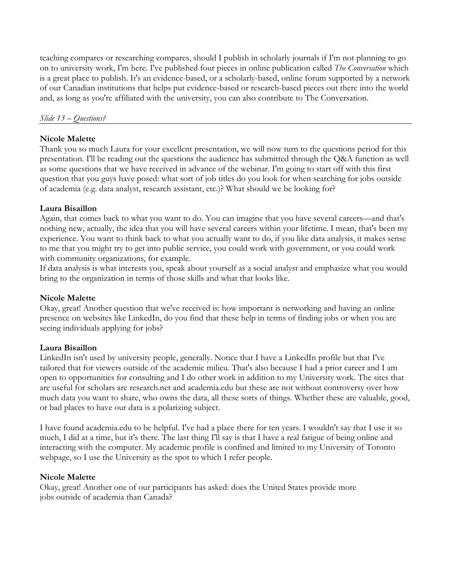teaching compares or researching compares, should I publish in scholarly journals if I'm not planning to go on to university work, I'm here. I've published four pieces in online publication called *The Conversation* which is a great place to publish. It's an evidence-based, or a scholarly-based, online forum supported by a network of our Canadian institutions that helps put evidence-based or research-based pieces out there into the world and, as long as you're affiliated with the university, you can also contribute to The Conversation.

### *Slide 13 – Questions?*

### **Nicole Malette**

Thank you so much Laura for your excellent presentation, we will now turn to the questions period for this presentation. I'll be reading out the questions the audience has submitted through the Q&A function as well as some questions that we have received in advance of the webinar. I'm going to start off with this first question that you guys have posed: what sort of job titles do you look for when searching for jobs outside of academia (e.g. data analyst, research assistant, etc.)? What should we be looking for?

## **Laura Bisaillon**

Again, that comes back to what you want to do. You can imagine that you have several careers—and that's nothing new, actually, the idea that you will have several careers within your lifetime. I mean, that's been my experience. You want to think back to what you actually want to do, if you like data analysis, it makes sense to me that you might try to get into public service, you could work with government, or you could work with community organizations, for example.

If data analysis is what interests you, speak about yourself as a social analyst and emphasize what you would bring to the organization in terms of those skills and what that looks like.

## **Nicole Malette**

Okay, great! Another question that we've received is: how important is networking and having an online presence on websites like LinkedIn, do you find that these help in terms of finding jobs or when you are seeing individuals applying for jobs?

### **Laura Bisaillon**

LinkedIn isn't used by university people, generally. Notice that I have a LinkedIn profile but that I've tailored that for viewers outside of the academic milieu. That's also because I had a prior career and I am open to opportunities for consulting and I do other work in addition to my University work. The sites that are useful for scholars are research.net and academia.edu but these are not without controversy over how much data you want to share, who owns the data, all these sorts of things. Whether these are valuable, good, or bad places to have our data is a polarizing subject.

I have found academia.edu to be helpful. I've had a place there for ten years. I wouldn't say that I use it so much, I did at a time, but it's there. The last thing I'll say is that I have a real fatigue of being online and interacting with the computer. My academic profile is confined and limited to my University of Toronto webpage, so I use the University as the spot to which I refer people.

### **Nicole Malette**

Okay, great! Another one of our participants has asked: does the United States provide more jobs outside of academia than Canada?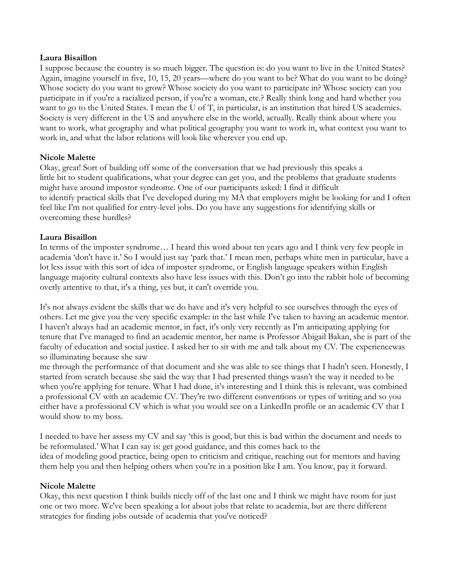### **Laura Bisaillon**

I suppose because the country is so much bigger. The question is: do you want to live in the United States? Again, imagine yourself in five, 10, 15, 20 years—where do you want to be? What do you want to be doing? Whose society do you want to grow? Whose society do you want to participate in? Whose society can you participate in if you're a racialized person, if you're a woman, etc.? Really think long and hard whether you want to go to the United States. I mean the U of T, in particular, is an institution that hired US academics. Society is very different in the US and anywhere else in the world, actually. Really think about where you want to work, what geography and what political geography you want to work in, what context you want to work in, and what the labor relations will look like wherever you end up.

## **Nicole Malette**

Okay, great! Sort of building off some of the conversation that we had previously this speaks a little bit to student qualifications, what your degree can get you, and the problems that graduate students might have around impostor syndrome. One of our participants asked: I find it difficult to identify practical skills that I've developed during my MA that employers might be looking for and I often feel like I'm not qualified for entry-level jobs. Do you have any suggestions for identifying skills or overcoming these hurdles?

# **Laura Bisaillon**

In terms of the imposter syndrome… I heard this word about ten years ago and I think very few people in academia 'don't have it.' So I would just say 'park that.' I mean men, perhaps white men in particular, have a lot less issue with this sort of idea of imposter syndrome, or English language speakers within English language majority cultural contexts also have less issues with this. Don't go into the rabbit hole of becoming overly attentive to that, it's a thing, yes but, it can't override you.

It's not always evident the skills that we do have and it's very helpful to see ourselves through the eyes of others. Let me give you the very specific example: in the last while I've taken to having an academic mentor. I haven't always had an academic mentor, in fact, it's only very recently as I'm anticipating applying for tenure that I've managed to find an academic mentor, her name is Professor Abigail Bakan, she is part of the faculty of education and social justice. I asked her to sit with me and talk about my CV. The experiencewas so illuminating because she saw

me through the performance of that document and she was able to see things that I hadn't seen. Honestly, I started from scratch because she said the way that I had presented things wasn't the way it needed to be when you're applying for tenure. What I had done, it's interesting and I think this is relevant, was combined a professional CV with an academic CV. They're two different conventions or types of writing and so you either have a professional CV which is what you would see on a LinkedIn profile or an academic CV that I would show to my boss.

I needed to have her assess my CV and say 'this is good, but this is bad within the document and needs to be reformulated.' What I can say is: get good guidance, and this comes back to the idea of modeling good practice, being open to criticism and critique, reaching out for mentors and having them help you and then helping others when you're in a position like I am. You know, pay it forward.

## **Nicole Malette**

Okay, this next question I think builds nicely off of the last one and I think we might have room for just one or two more. We've been speaking a lot about jobs that relate to academia, but are there different strategies for finding jobs outside of academia that you've noticed?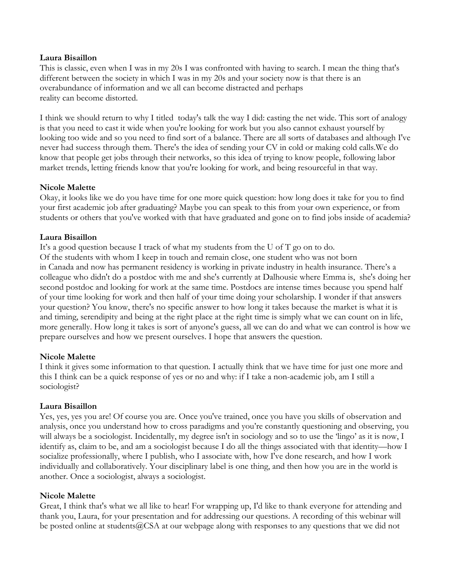### **Laura Bisaillon**

This is classic, even when I was in my 20s I was confronted with having to search. I mean the thing that's different between the society in which I was in my 20s and your society now is that there is an overabundance of information and we all can become distracted and perhaps reality can become distorted.

I think we should return to why I titled today's talk the way I did: casting the net wide. This sort of analogy is that you need to cast it wide when you're looking for work but you also cannot exhaust yourself by looking too wide and so you need to find sort of a balance. There are all sorts of databases and although I've never had success through them. There's the idea of sending your CV in cold or making cold calls.We do know that people get jobs through their networks, so this idea of trying to know people, following labor market trends, letting friends know that you're looking for work, and being resourceful in that way.

## **Nicole Malette**

Okay, it looks like we do you have time for one more quick question: how long does it take for you to find your first academic job after graduating? Maybe you can speak to this from your own experience, or from students or others that you've worked with that have graduated and gone on to find jobs inside of academia?

## **Laura Bisaillon**

It's a good question because I track of what my students from the U of T go on to do. Of the students with whom I keep in touch and remain close, one student who was not born in Canada and now has permanent residency is working in private industry in health insurance. There's a colleague who didn't do a postdoc with me and she's currently at Dalhousie where Emma is, she's doing her second postdoc and looking for work at the same time. Postdocs are intense times because you spend half of your time looking for work and then half of your time doing your scholarship. I wonder if that answers your question? You know, there's no specific answer to how long it takes because the market is what it is and timing, serendipity and being at the right place at the right time is simply what we can count on in life, more generally. How long it takes is sort of anyone's guess, all we can do and what we can control is how we prepare ourselves and how we present ourselves. I hope that answers the question.

## **Nicole Malette**

I think it gives some information to that question. I actually think that we have time for just one more and this I think can be a quick response of yes or no and why: if I take a non-academic job, am I still a sociologist?

## **Laura Bisaillon**

Yes, yes, yes you are! Of course you are. Once you've trained, once you have you skills of observation and analysis, once you understand how to cross paradigms and you're constantly questioning and observing, you will always be a sociologist. Incidentally, my degree isn't in sociology and so to use the 'lingo' as it is now, I identify as, claim to be, and am a sociologist because I do all the things associated with that identity—how I socialize professionally, where I publish, who I associate with, how I've done research, and how I work individually and collaboratively. Your disciplinary label is one thing, and then how you are in the world is another. Once a sociologist, always a sociologist.

### **Nicole Malette**

Great, I think that's what we all like to hear! For wrapping up, I'd like to thank everyone for attending and thank you, Laura, for your presentation and for addressing our questions. A recording of this webinar will be posted online at students@CSA at our webpage along with responses to any questions that we did not